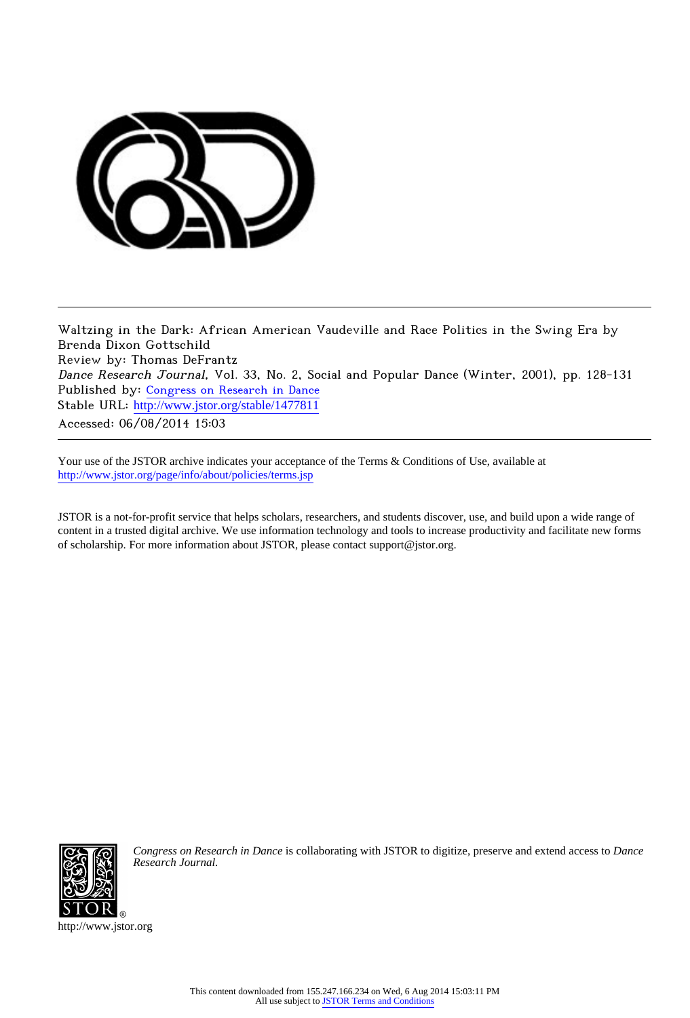

Waltzing in the Dark: African American Vaudeville and Race Politics in the Swing Era by Brenda Dixon Gottschild Review by: Thomas DeFrantz Dance Research Journal, Vol. 33, No. 2, Social and Popular Dance (Winter, 2001), pp. 128-131 Published by: [Congress on Research in Dance](http://www.jstor.org/action/showPublisher?publisherCode=crd) Stable URL: [http://www.jstor.org/stable/1477811](http://www.jstor.org/stable/1477811?origin=JSTOR-pdf) Accessed: 06/08/2014 15:03

Your use of the JSTOR archive indicates your acceptance of the Terms & Conditions of Use, available at <http://www.jstor.org/page/info/about/policies/terms.jsp>

JSTOR is a not-for-profit service that helps scholars, researchers, and students discover, use, and build upon a wide range of content in a trusted digital archive. We use information technology and tools to increase productivity and facilitate new forms of scholarship. For more information about JSTOR, please contact support@jstor.org.



*Congress on Research in Dance* is collaborating with JSTOR to digitize, preserve and extend access to *Dance Research Journal.*

http://www.jstor.org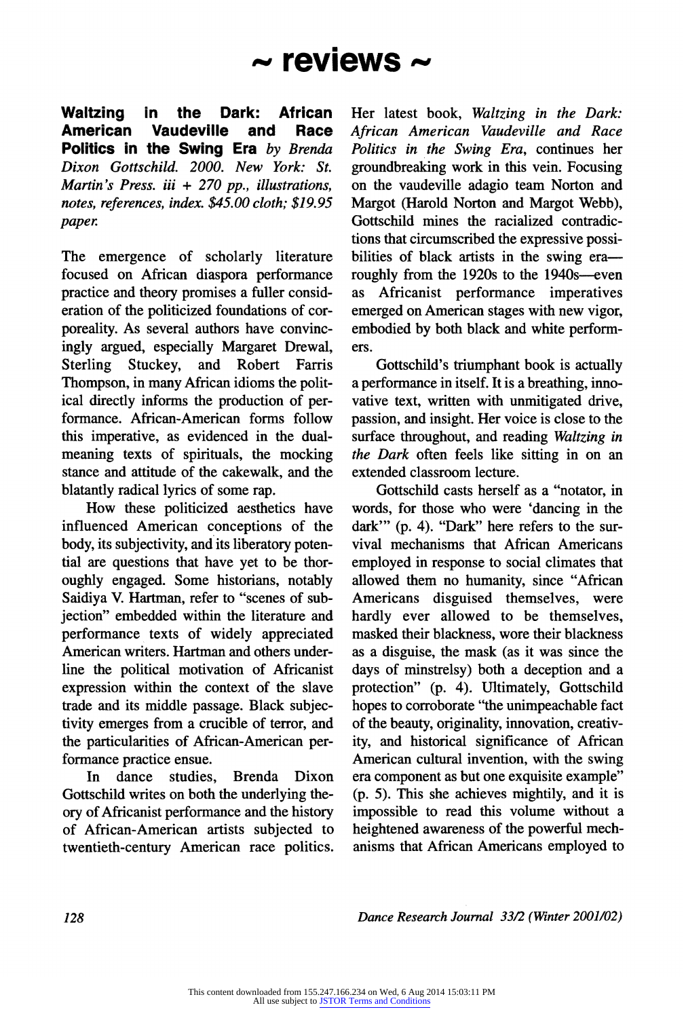## **- reviews -**

**Waltzing in the Dark: African Vaudeville Politics in the Swing Era by Brenda Dixon Gottschild. 2000. New York: St. Martin's Press. iii + 270 pp., illustrations, notes, references, index. \$45.00 cloth; \$19.95**  paper.

**The emergence of scholarly literature focused on African diaspora performance practice and theory promises a fuller consideration of the politicized foundations of corporeality. As several authors have convincingly argued, especially Margaret Drewal,**  and Robert **Thompson, in many African idioms the political directly informs the production of performance. African-American forms follow this imperative, as evidenced in the dualmeaning texts of spirituals, the mocking stance and attitude of the cakewalk, and the blatantly radical lyrics of some rap.** 

**How these politicized aesthetics have influenced American conceptions of the body, its subjectivity, and its liberatory potential are questions that have yet to be thoroughly engaged. Some historians, notably Saidiya V. Hartman, refer to "scenes of subjection" embedded within the literature and performance texts of widely appreciated American writers. Hartman and others underline the political motivation of Africanist expression within the context of the slave trade and its middle passage. Black subjectivity emerges from a crucible of terror, and the particularities of African-American performance practice ensue.** 

**In dance studies, Brenda Dixon Gottschild writes on both the underlying theory of Africanist performance and the history of African-American artists subjected to twentieth-century American race politics.**  **Her latest book, Waltzing in the Dark: African American Vaudeville and Race Politics in the Swing Era, continues her groundbreaking work in this vein. Focusing on the vaudeville adagio team Norton and Margot (Harold Norton and Margot Webb), Gottschild mines the racialized contradictions that circumscribed the expressive possibilities of black artists in the swing era**roughly from the 1920s to the 1940s-even **as Africanist performance imperatives emerged on American stages with new vigor, embodied by both black and white performers.** 

**Gottschild's triumphant book is actually a performance in itself. It is a breathing, innovative text, written with unmitigated drive, passion, and insight. Her voice is close to the surface throughout, and reading Waltzing in the Dark often feels like sitting in on an extended classroom lecture.** 

**Gottschild casts herself as a "notator, in words, for those who were 'dancing in the dark"' (p, 4). "Dark" here refers to the survival mechanisms that African Americans employed in response to social climates that allowed them no humanity, since "African Americans disguised themselves, were hardly ever allowed to be themselves, masked their blackness, wore their blackness as a disguise, the mask (as it was since the days of minstrelsy) both a deception and a protection" (p. 4). Ultimately, Gottschild hopes to corroborate "the unimpeachable fact of the beauty, originality, innovation, creativity, and historical significance of African American cultural invention, with the swing era component as but one exquisite example" (p. 5). This she achieves mightily, and it is impossible to read this volume without a heightened awareness of the powerful mechanisms that African Americans employed to** 

**128 Dance Research Journal 33/2 (Winter 2001/02)**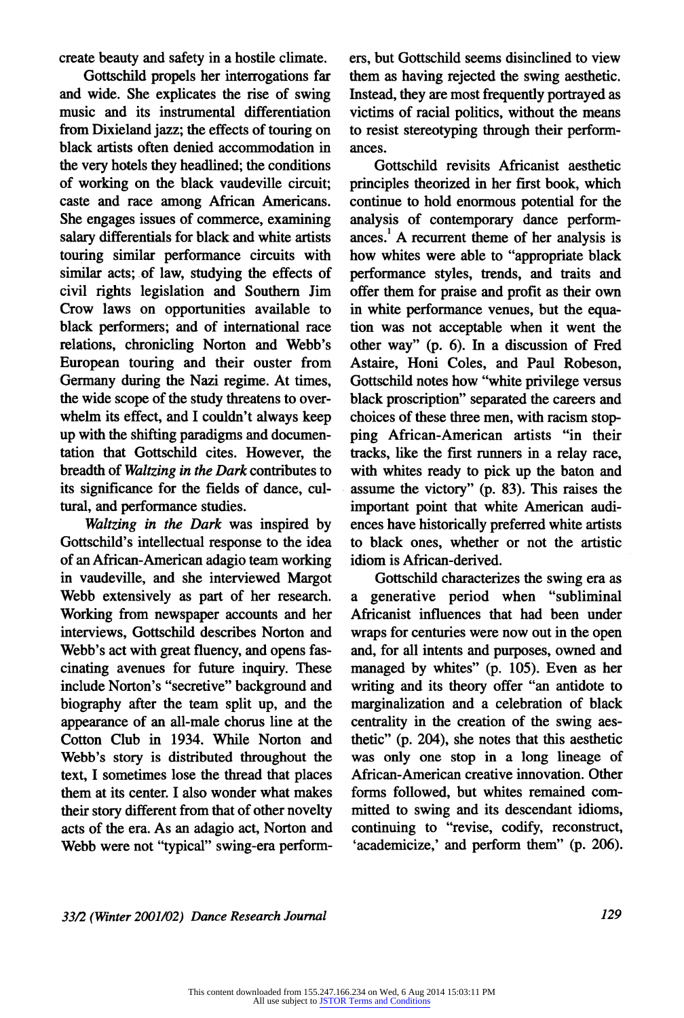**create beauty and safety in a hostile climate.** 

**Gottschild propels her interrogations far and wide. She explicates the rise of swing music and its instrumental differentiation from Dixieland jazz; the effects of touring on black artists often denied accommodation in the very hotels they headlined; the conditions of working on the black vaudeville circuit; caste and race among African Americans. She engages issues of commerce, examining salary differentials for black and white artists touring similar performance circuits with similar acts; of law, studying the effects of civil rights legislation and Southern Jim Crow laws on opportunities available to black performers; and of international race relations, chronicling Norton and Webb's European touring and their ouster from Germany during the Nazi regime. At times, the wide scope of the study threatens to overwhelm its effect, and I couldn't always keep up with the shifting paradigms and documentation that Gottschild cites. However, the breadth of Waltzing in the Dark contributes to its significance for the fields of dance, cultural, and performance studies.** 

**Waltzing in the Dark was inspired by Gottschild's intellectual response to the idea of an African-American adagio team working in vaudeville, and she interviewed Margot Webb extensively as part of her research. Working from newspaper accounts and her interviews, Gottschild describes Norton and Webb's act with great fluency, and opens fascinating avenues for future inquiry. These include Norton's "secretive" background and biography after the team split up, and the appearance of an all-male chorus line at the Cotton Club in 1934. While Norton and Webb's story is distributed throughout the text, I sometimes lose the thread that places them at its center. I also wonder what makes their story different from that of other novelty acts of the era. As an adagio act, Norton and Webb were not "typical" swing-era perform-** **ers, but Gottschild seems disinclined to view them as having rejected the swing aesthetic. Instead, they are most frequently portrayed as victims of racial politics, without the means to resist stereotyping through their performances.** 

**Gottschild revisits Africanist aesthetic principles theorized in her first book, which continue to hold enormous potential for the analysis of contemporary dance performances.1 A recurrent theme of her analysis is how whites were able to "appropriate black performance styles, trends, and traits and offer them for praise and profit as their own in white performance venues, but the equation was not acceptable when it went the other way" (p. 6). In a discussion of Fred Astaire, Honi Coles, and Paul Robeson, Gottschild notes how "white privilege versus black proscription" separated the careers and choices of these three men, with racism stopping African-American artists "in their tracks, like the first runners in a relay race, with whites ready to pick up the baton and assume the victory" (p. 83). This raises the important point that white American audiences have historically preferred white artists to black ones, whether or not the artistic idiom is African-derived.** 

**Gottschild characterizes the swing era as a generative period when "subliminal Africanist influences that had been under wraps for centuries were now out in the open and, for all intents and purposes, owned and managed by whites" (p. 105). Even as her writing and its theory offer "an antidote to marginalization and a celebration of black centrality in the creation of the swing aesthetic" (p. 204), she notes that this aesthetic was only one stop in a long lineage of African-American creative innovation. Other forms followed, but whites remained committed to swing and its descendant idioms, continuing to "revise, codify, reconstruct, 'academicize,' and perform them" (p. 206).** 

**33/2 (Winter 2001/02) Dance Research Journal 129**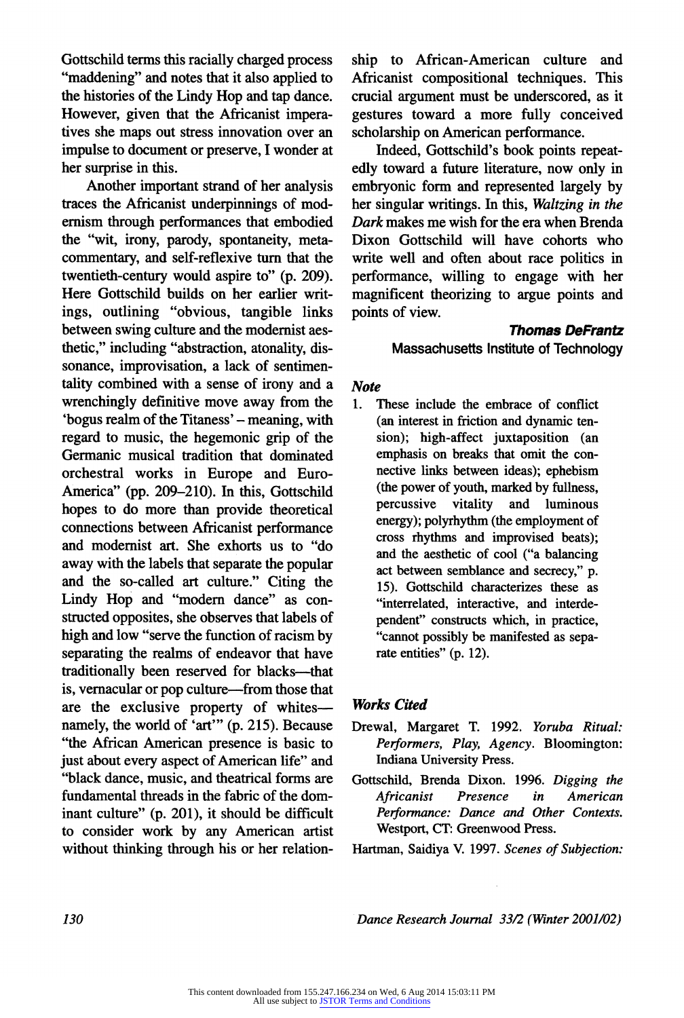**Gottschild terms this racially charged process "maddening" and notes that it also applied to the histories of the Lindy Hop and tap dance. However, given that the Africanist imperatives she maps out stress innovation over an impulse to document or preserve, I wonder at her surprise in this.** 

**Another important strand of her analysis traces the Africanist underpinnings of modernism through performances that embodied the "wit, irony, parody, spontaneity, metacommentary, and self-reflexive turn that the twentieth-century would aspire to" (p. 209). Here Gottschild builds on her earlier writings, outlining "obvious, tangible links between swing culture and the modernist aesthetic," including "abstraction, atonality, dissonance, improvisation, a lack of sentimentality combined with a sense of irony and a wrenchingly definitive move away from the**  'bogus realm of the Titaness' – meaning, with **regard to music, the hegemonic grip of the Germanic musical tradition that dominated orchestral works in Europe and Euro-America" (pp. 209-210). In this, Gottschild hopes to do more than provide theoretical connections between Africanist performance and modernist art. She exhorts us to "do away with the labels that separate the popular and the so-called art culture." Citing the Lindy Hop and "modem dance" as constructed opposites, she observes that labels of high and low "serve the function of racism by separating the realms of endeavor that have traditionally been reserved for blacks-that is, vernacular or pop culture-from those that are the exclusive property of whitesnamely, the world of 'art"' (p. 215). Because "the African American presence is basic to just about every aspect of American life" and "black dance, music, and theatrical forms are fundamental threads in the fabric of the dominant culture" (p. 201), it should be difficult to consider work by any American artist without thinking through his or her relation-** **ship to African-American culture and Africanist compositional techniques. This crucial argument must be underscored, as it gestures toward a more fully conceived scholarship on American performance.** 

**Indeed, Gottschild's book points repeatedly toward a future literature, now only in embryonic form and represented largely by her singular writings. In this, Waltzing in the Dark makes me wish for the era when Brenda Dixon Gottschild will have cohorts who write well and often about race politics in performance, willing to engage with her magnificent theorizing to argue points and points of view.** 

## **Thomas DeFrantz Massachusetts Institute of Technology**

## **Note**

**1. These include the embrace of conflict (an interest in friction and dynamic tension); high-affect juxtaposition (an emphasis on breaks that omit the connective links between ideas); ephebism (the power of youth, marked by fullness,**  and luminous **energy); polyrhythm (the employment of cross rhythms and improvised beats); and the aesthetic of cool ("a balancing act between semblance and secrecy," p. 15). Gottschild characterizes these as "interrelated, interactive, and interdependent" constructs which, in practice, "cannot possibly be manifested as separate entities" (p. 12).** 

## **Works Cited**

- **Drewal, Margaret T. 1992. Yoruba Ritual: Performers, Play, Agency. Bloomington: Indiana University Press.**
- **Gottschild, Brenda Dixon. 1996. Digging the American Performance: Dance and Other Contexts. Westport, CT: Greenwood Press.**
- **Hartman, Saidiya V. 1997. Scenes of Subjection:**

**130 Dance Research Journal 33/2 (Winter 2001/02)**